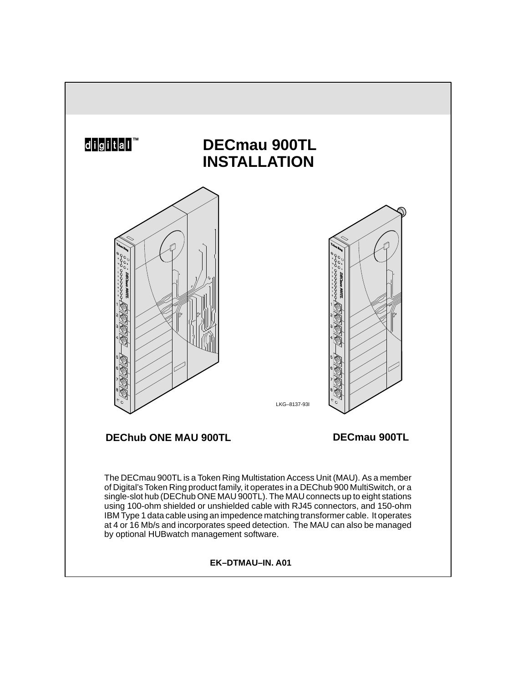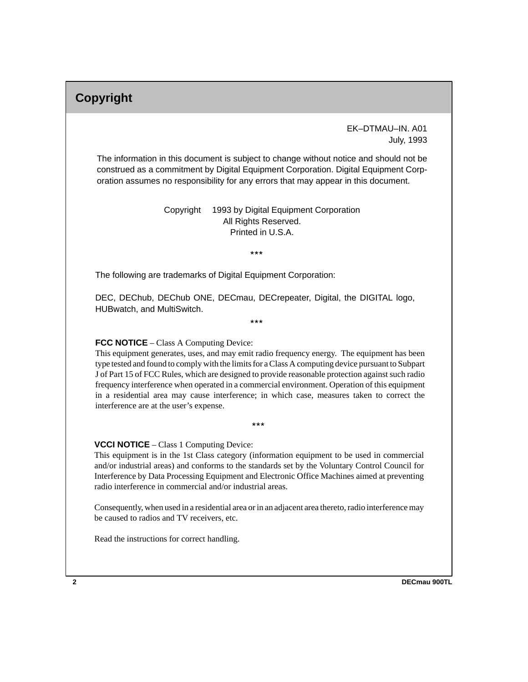# **Copyright**

 EK–DTMAU–IN. A01 July, 1993

The information in this document is subject to change without notice and should not be construed as a commitment by Digital Equipment Corporation. Digital Equipment Corporation assumes no responsibility for any errors that may appear in this document.

> Copyright © 1993 by Digital Equipment Corporation All Rights Reserved. Printed in U.S.A.

> > $***$

The following are trademarks of Digital Equipment Corporation:

DEC, DEChub, DEChub ONE, DECmau, DECrepeater, Digital, the DIGITAL logo, HUBwatch, and MultiSwitch.

 $***$ 

#### **FCC NOTICE** – Class A Computing Device:

This equipment generates, uses, and may emit radio frequency energy. The equipment has been type tested and found to comply with the limits for a Class A computing device pursuant to Subpart J of Part 15 of FCC Rules, which are designed to provide reasonable protection against such radio frequency interference when operated in a commercial environment. Operation of this equipment in a residential area may cause interference; in which case, measures taken to correct the interference are at the user's expense.

 $***$ 

#### **VCCI NOTICE** – Class 1 Computing Device:

This equipment is in the 1st Class category (information equipment to be used in commercial and/or industrial areas) and conforms to the standards set by the Voluntary Control Council for Interference by Data Processing Equipment and Electronic Office Machines aimed at preventing radio interference in commercial and/or industrial areas.

Consequently, when used in a residential area or in an adjacent area thereto, radio interference may be caused to radios and TV receivers, etc.

Read the instructions for correct handling.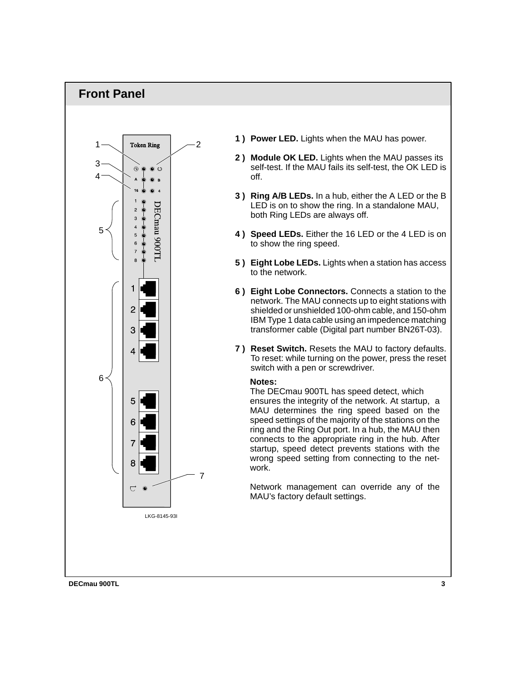## **Front Panel**



- **1 ) Power LED.** Lights when the MAU has power.
- **2 ) Module OK LED.** Lights when the MAU passes its self-test. If the MAU fails its self-test, the OK LED is off.
- **3 ) Ring A/B LEDs.** In a hub, either the A LED or the B LED is on to show the ring. In a standalone MAU, both Ring LEDs are always off.
- **4 ) Speed LEDs.** Either the 16 LED or the 4 LED is on to show the ring speed.
- **5 ) Eight Lobe LEDs.** Lights when a station has access to the network.
- **6 ) Eight Lobe Connectors.** Connects a station to the network. The MAU connects up to eight stations with shielded or unshielded 100-ohm cable, and 150-ohm IBM Type 1 data cable using an impedence matching transformer cable (Digital part number BN26T-03).
- **7 ) Reset Switch.** Resets the MAU to factory defaults. To reset: while turning on the power, press the reset switch with a pen or screwdriver.

#### **Notes:**

The DECmau 900TL has speed detect, which ensures the integrity of the network. At startup, a MAU determines the ring speed based on the speed settings of the majority of the stations on the ring and the Ring Out port. In a hub, the MAU then connects to the appropriate ring in the hub. After startup, speed detect prevents stations with the wrong speed setting from connecting to the network.

Network management can override any of the MAU's factory default settings.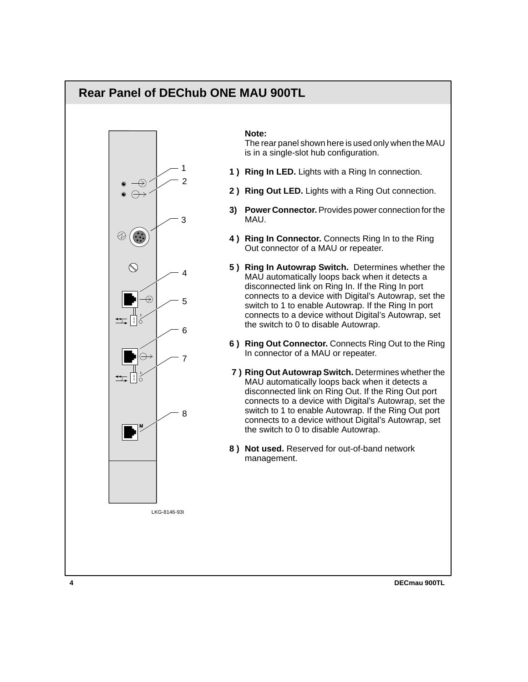## **Rear Panel of DEChub ONE MAU 900TL**



#### **Note:**

The rear panel shown here is used only when the MAU is in a single-slot hub configuration.

- **1 ) Ring In LED.** Lights with a Ring In connection.
- **2 ) Ring Out LED.** Lights with a Ring Out connection.
- **3) Power Connector.** Provides power connection for the MAU.
- **4 ) Ring In Connector.** Connects Ring In to the Ring Out connector of a MAU or repeater.
- **5 ) Ring In Autowrap Switch.** Determines whether the MAU automatically loops back when it detects a disconnected link on Ring In. If the Ring In port connects to a device with Digital's Autowrap, set the switch to 1 to enable Autowrap. If the Ring In port connects to a device without Digital's Autowrap, set the switch to 0 to disable Autowrap.
- **6 ) Ring Out Connector.** Connects Ring Out to the Ring In connector of a MAU or repeater.
- **7 ) Ring Out Autowrap Switch.** Determines whether the MAU automatically loops back when it detects a disconnected link on Ring Out. If the Ring Out port connects to a device with Digital's Autowrap, set the switch to 1 to enable Autowrap. If the Ring Out port connects to a device without Digital's Autowrap, set the switch to 0 to disable Autowrap.
- **8 ) Not used.** Reserved for out-of-band network management.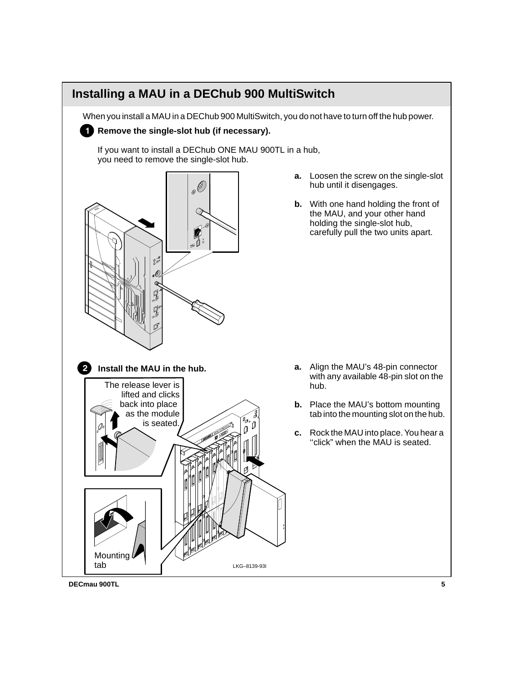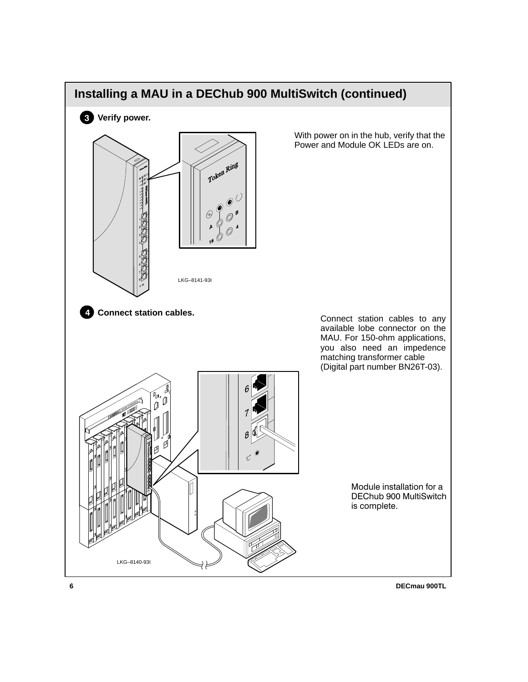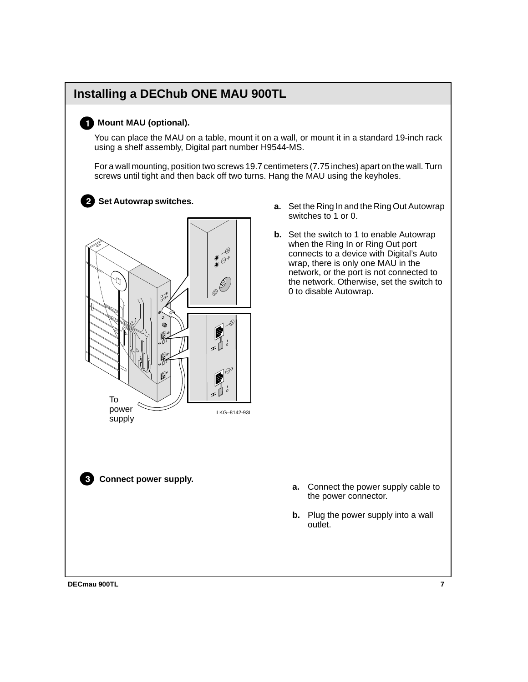# **Installing a DEChub ONE MAU 900TL Mount MAU (optional).** You can place the MAU on a table, mount it on a wall, or mount it in a standard 19-inch rack using a shelf assembly, Digital part number H9544-MS. For a wall mounting, position two screws 19.7 centimeters (7.75 inches) apart on the wall. Turn screws until tight and then back off two turns. Hang the MAU using the keyholes. - **Set Autowrap switches.**  $\mathscr{D}$  $\mathcal{O}$ Ê  $\varpi$ پایو To power LKG–8142-93I supply**Connect power supply.**

- **a.** Set the Ring In and the Ring Out Autowrap switches to 1 or 0.
- **b.** Set the switch to 1 to enable Autowrap when the Ring In or Ring Out port connects to a device with Digital's Auto wrap, there is only one MAU in the network, or the port is not connected to the network. Otherwise, set the switch to 0 to disable Autowrap.

- **a.** Connect the power supply cable to the power connector.
- **b.** Plug the power supply into a wall outlet.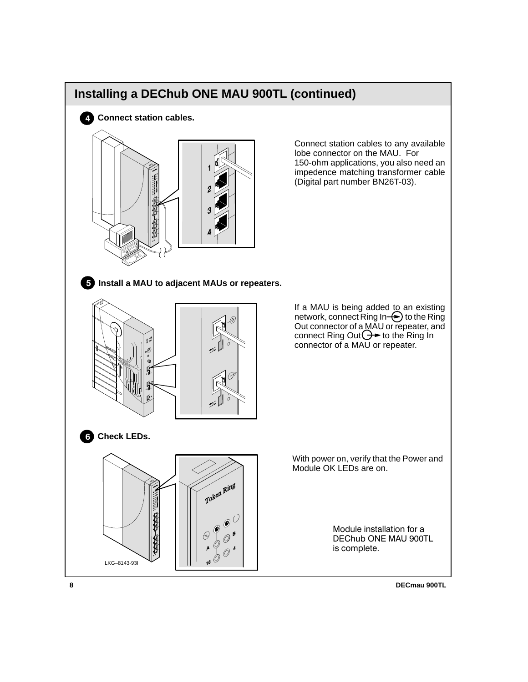

**8 8 DECMAU 900TL**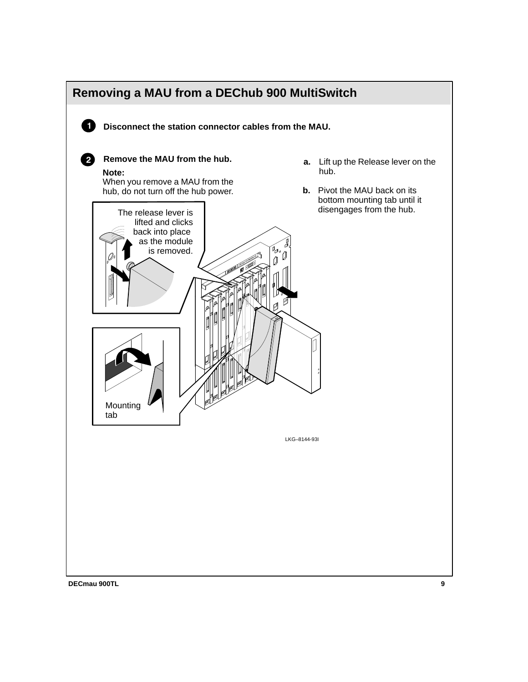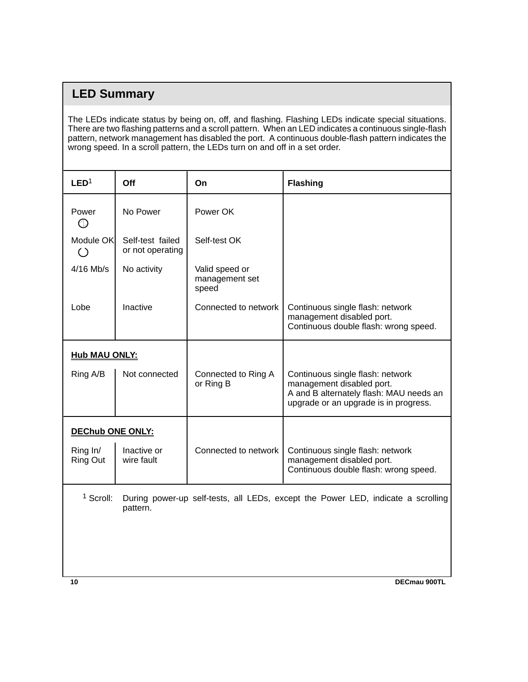# **LED Summary**

The LEDs indicate status by being on, off, and flashing. Flashing LEDs indicate special situations. There are two flashing patterns and a scroll pattern. When an LED indicates a continuous single-flash pattern, network management has disabled the port. A continuous double-flash pattern indicates the wrong speed. In a scroll pattern, the LEDs turn on and off in a set order.

| LED <sup>1</sup>                                         | Off                                  | On                                        | <b>Flashing</b>                                                                                                                                   |
|----------------------------------------------------------|--------------------------------------|-------------------------------------------|---------------------------------------------------------------------------------------------------------------------------------------------------|
| Power<br>ல                                               | No Power                             | Power OK                                  |                                                                                                                                                   |
| Module OK<br>$\left(\begin{array}{c} \end{array}\right)$ | Self-test failed<br>or not operating | Self-test OK                              |                                                                                                                                                   |
| $4/16$ Mb/s                                              | No activity                          | Valid speed or<br>management set<br>speed |                                                                                                                                                   |
| Lobe                                                     | Inactive                             | Connected to network                      | Continuous single flash: network<br>management disabled port.<br>Continuous double flash: wrong speed.                                            |
| <b>Hub MAU ONLY:</b>                                     |                                      |                                           |                                                                                                                                                   |
| Ring A/B                                                 | Not connected                        | Connected to Ring A<br>or Ring B          | Continuous single flash: network<br>management disabled port.<br>A and B alternately flash: MAU needs an<br>upgrade or an upgrade is in progress. |
| <b>DEChub ONE ONLY:</b>                                  |                                      |                                           |                                                                                                                                                   |
| Ring In/<br><b>Ring Out</b>                              | Inactive or<br>wire fault            | Connected to network                      | Continuous single flash: network<br>management disabled port.<br>Continuous double flash: wrong speed.                                            |
|                                                          |                                      |                                           |                                                                                                                                                   |

<sup>1</sup> Scroll: During power-up self-tests, all LEDs, except the Power LED, indicate a scrolling pattern.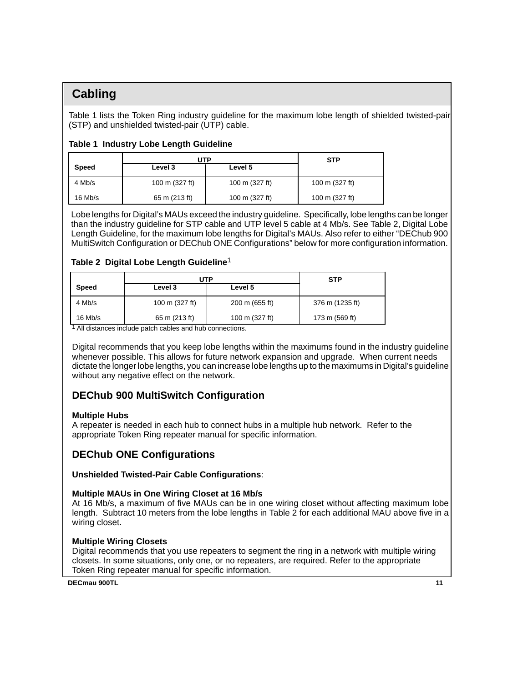## **Cabling**

Table 1 lists the Token Ring industry guideline for the maximum lobe length of shielded twisted-pair (STP) and unshielded twisted-pair (UTP) cable.

## **Table 1 Industry Lobe Length Guideline**

|              | UTP            | <b>STP</b>     |                |
|--------------|----------------|----------------|----------------|
| <b>Speed</b> | Level 3        | Level 5        |                |
| 4 Mb/s       | 100 m (327 ft) | 100 m (327 ft) | 100 m (327 ft) |
| $16$ Mb/s    | 65 m (213 ft)  | 100 m (327 ft) | 100 m (327 ft) |

Lobe lengths for Digital's MAUs exceed the industry guideline. Specifically, lobe lengths can be longer than the industry guideline for STP cable and UTP level 5 cable at 4 Mb/s. See Table 2, Digital Lobe Length Guideline, for the maximum lobe lengths for Digital's MAUs. Also refer to either "DEChub 900 MultiSwitch Configuration or DEChub ONE Configurations" below for more configuration information.

## **Table 2 Digital Lobe Length Guideline**<sup>1</sup>

|              | JTP            | <b>STP</b>     |                 |
|--------------|----------------|----------------|-----------------|
| <b>Speed</b> | Level 3        | Level 5        |                 |
| 4 Mb/s       | 100 m (327 ft) | 200 m (655 ft) | 376 m (1235 ft) |
| $16$ Mb/s    | 65 m (213 ft)  | 100 m (327 ft) | 173 m (569 ft)  |

1 All distances include patch cables and hub connections.

Digital recommends that you keep lobe lengths within the maximums found in the industry guideline whenever possible. This allows for future network expansion and upgrade. When current needs dictate the longer lobe lengths, you can increase lobe lengths up to the maximums in Digital's guideline without any negative effect on the network.

## **DEChub 900 MultiSwitch Configuration**

## **Multiple Hubs**

A repeater is needed in each hub to connect hubs in a multiple hub network. Refer to the appropriate Token Ring repeater manual for specific information.

## **DEChub ONE Configurations**

## **Unshielded Twisted-Pair Cable Configurations**:

## **Multiple MAUs in One Wiring Closet at 16 Mb/s**

At 16 Mb/s, a maximum of five MAUs can be in one wiring closet without affecting maximum lobe length. Subtract 10 meters from the lobe lengths in Table 2 for each additional MAU above five in a wiring closet.

## **Multiple Wiring Closets**

Digital recommends that you use repeaters to segment the ring in a network with multiple wiring closets. In some situations, only one, or no repeaters, are required. Refer to the appropriate Token Ring repeater manual for specific information.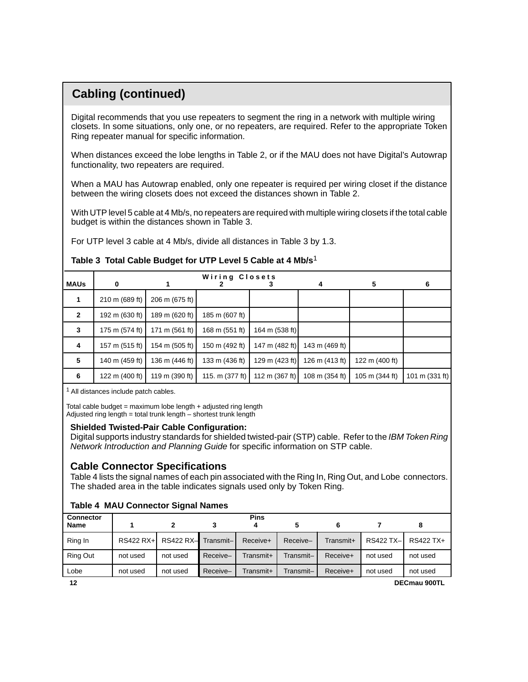# **Cabling (continued)**

Digital recommends that you use repeaters to segment the ring in a network with multiple wiring closets. In some situations, only one, or no repeaters, are required. Refer to the appropriate Token Ring repeater manual for specific information.

When distances exceed the lobe lengths in Table 2, or if the MAU does not have Digital's Autowrap functionality, two repeaters are required.

When a MAU has Autowrap enabled, only one repeater is required per wiring closet if the distance between the wiring closets does not exceed the distances shown in Table 2.

With UTP level 5 cable at 4 Mb/s, no repeaters are required with multiple wiring closets if the total cable budget is within the distances shown in Table 3.

For UTP level 3 cable at 4 Mb/s, divide all distances in Table 3 by 1.3.

|                | Wiring Closets |                |                   |                  |                |                |                |
|----------------|----------------|----------------|-------------------|------------------|----------------|----------------|----------------|
| <b>MAUs</b>    | 0              |                |                   |                  | 4              | 5              | 6              |
| 1              | 210 m (689 ft) | 206 m (675 ft) |                   |                  |                |                |                |
| $\overline{2}$ | 192 m (630 ft) | 189 m (620 ft) | 185 m (607 ft)    |                  |                |                |                |
| 3              | 175 m (574 ft) | 171 m (561 ft) | 168 m (551 ft)    | 164 m (538 ft)   |                |                |                |
| 4              | 157 m (515 ft) | 154 m (505 ft) | 150 m (492 ft)    | 147 m (482 ft)   | 143 m (469 ft) |                |                |
| 5              | 140 m (459 ft) | 136 m (446 ft) | 133 m (436 ft)    | 129 m $(423 ft)$ | 126 m (413 ft) | 122 m (400 ft) |                |
| 6              | 122 m (400 ft) | 119 m (390 ft) | 115. m $(377 ft)$ | 112 m $(367 ft)$ | 108 m (354 ft) | 105 m (344 ft) | 101 m (331 ft) |

## **Table 3 Total Cable Budget for UTP Level 5 Cable at 4 Mb/s**<sup>1</sup>

<sup>1</sup> All distances include patch cables.

Total cable budget = maximum lobe length  $+$  adjusted ring length Adjusted ring length = total trunk length  $-$  shortest trunk length

## **Shielded Twisted-Pair Cable Configuration:**

Digital supports industry standards for shielded twisted-pair (STP) cable. Refer to the IBM Token Ring Network Introduction and Planning Guide for specific information on STP cable.

## **Cable Connector Specifications**

Table 4 lists the signal names of each pin associated with the Ring In, Ring Out, and Lobe connectors. The shaded area in the table indicates signals used only by Token Ring.

| <b>Table 4 MAU Connector Signal Names</b> |  |  |  |  |  |
|-------------------------------------------|--|--|--|--|--|
|-------------------------------------------|--|--|--|--|--|

| <b>Connector</b> |             |                    |          | <b>Pins</b> |           |           |           |              |
|------------------|-------------|--------------------|----------|-------------|-----------|-----------|-----------|--------------|
| <b>Name</b>      |             |                    |          |             |           |           |           |              |
| Ring In          | $RS422 RX+$ | RS422 RX-Transmit- |          | Receive+    | Receive-  | Transmit+ | RS422 TX- | RS422 TX+    |
| <b>Ring Out</b>  | not used    | not used           | Receive- | Transmit+   | Transmit– | Receive+  | not used  | not used     |
| Lobe             | not used    | not used           | Receive- | Transmit+   | Transmit– | Receive+  | not used  | not used     |
| 12               |             |                    |          |             |           |           |           | DECmau 900TL |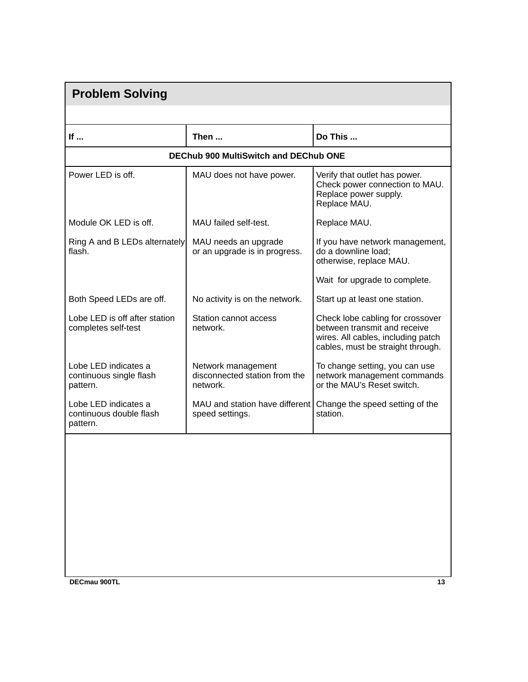| <b>Problem Solving</b>                                      |                                                                 |                                                                                                                                             |  |  |  |  |
|-------------------------------------------------------------|-----------------------------------------------------------------|---------------------------------------------------------------------------------------------------------------------------------------------|--|--|--|--|
|                                                             |                                                                 |                                                                                                                                             |  |  |  |  |
| If                                                          | Then                                                            | Do This                                                                                                                                     |  |  |  |  |
| <b>DEChub 900 MultiSwitch and DEChub ONE</b>                |                                                                 |                                                                                                                                             |  |  |  |  |
| Power LED is off.                                           | MAU does not have power.                                        | Verify that outlet has power.<br>Check power connection to MAU.<br>Replace power supply.<br>Replace MAU.                                    |  |  |  |  |
| Module OK LED is off.                                       | MAU failed self-test.                                           | Replace MAU.                                                                                                                                |  |  |  |  |
| Ring A and B LEDs alternately<br>flash.                     | MAU needs an upgrade<br>or an upgrade is in progress.           | If you have network management,<br>do a downline load;<br>otherwise, replace MAU.                                                           |  |  |  |  |
|                                                             |                                                                 | Wait for upgrade to complete.                                                                                                               |  |  |  |  |
| Both Speed LEDs are off.                                    | No activity is on the network.                                  | Start up at least one station.                                                                                                              |  |  |  |  |
| Lobe LED is off after station<br>completes self-test        | Station cannot access<br>network.                               | Check lobe cabling for crossover<br>between transmit and receive<br>wires. All cables, including patch<br>cables, must be straight through. |  |  |  |  |
| Lobe LED indicates a<br>continuous single flash<br>pattern. | Network management<br>disconnected station from the<br>network. | To change setting, you can use<br>network management commands<br>or the MAU's Reset switch.                                                 |  |  |  |  |
| Lobe LED indicates a<br>continuous double flash<br>pattern. | MAU and station have different<br>speed settings.               | Change the speed setting of the<br>station.                                                                                                 |  |  |  |  |
| DECmau 900TL                                                |                                                                 | 13                                                                                                                                          |  |  |  |  |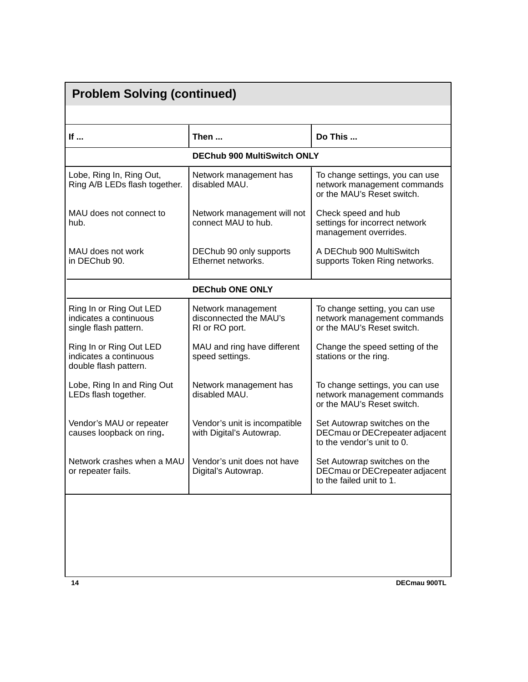| <b>Problem Solving (continued)</b>                                         |                                                                |                                                                                              |  |  |  |
|----------------------------------------------------------------------------|----------------------------------------------------------------|----------------------------------------------------------------------------------------------|--|--|--|
|                                                                            |                                                                |                                                                                              |  |  |  |
| If                                                                         | Then                                                           | Do This                                                                                      |  |  |  |
|                                                                            | <b>DEChub 900 MultiSwitch ONLY</b>                             |                                                                                              |  |  |  |
| Lobe, Ring In, Ring Out,<br>Ring A/B LEDs flash together.                  | Network management has<br>disabled MAU.                        | To change settings, you can use<br>network management commands<br>or the MAU's Reset switch. |  |  |  |
| MAU does not connect to<br>hub.                                            | Network management will not<br>connect MAU to hub.             | Check speed and hub<br>settings for incorrect network<br>management overrides.               |  |  |  |
| MAU does not work<br>in DEChub 90.                                         | DEChub 90 only supports<br>Ethernet networks.                  | A DEChub 900 MultiSwitch<br>supports Token Ring networks.                                    |  |  |  |
|                                                                            | <b>DEChub ONE ONLY</b>                                         |                                                                                              |  |  |  |
| Ring In or Ring Out LED<br>indicates a continuous<br>single flash pattern. | Network management<br>disconnected the MAU's<br>RI or RO port. | To change setting, you can use<br>network management commands<br>or the MAU's Reset switch.  |  |  |  |
| Ring In or Ring Out LED<br>indicates a continuous<br>double flash pattern. | MAU and ring have different<br>speed settings.                 | Change the speed setting of the<br>stations or the ring.                                     |  |  |  |
| Lobe, Ring In and Ring Out<br>LEDs flash together.                         | Network management has<br>disabled MAU.                        | To change settings, you can use<br>network management commands<br>or the MAU's Reset switch. |  |  |  |
| Vendor's MAU or repeater<br>causes loopback on ring.                       | Vendor's unit is incompatible<br>with Digital's Autowrap.      | Set Autowrap switches on the<br>DECmau or DECrepeater adjacent<br>to the vendor's unit to 0. |  |  |  |
| Network crashes when a MAU<br>or repeater fails.                           | Vendor's unit does not have<br>Digital's Autowrap.             | Set Autowrap switches on the<br>DECmau or DECrepeater adjacent<br>to the failed unit to 1.   |  |  |  |
|                                                                            |                                                                |                                                                                              |  |  |  |
|                                                                            |                                                                |                                                                                              |  |  |  |
|                                                                            |                                                                |                                                                                              |  |  |  |
| 14                                                                         |                                                                | DECmau 900TL                                                                                 |  |  |  |